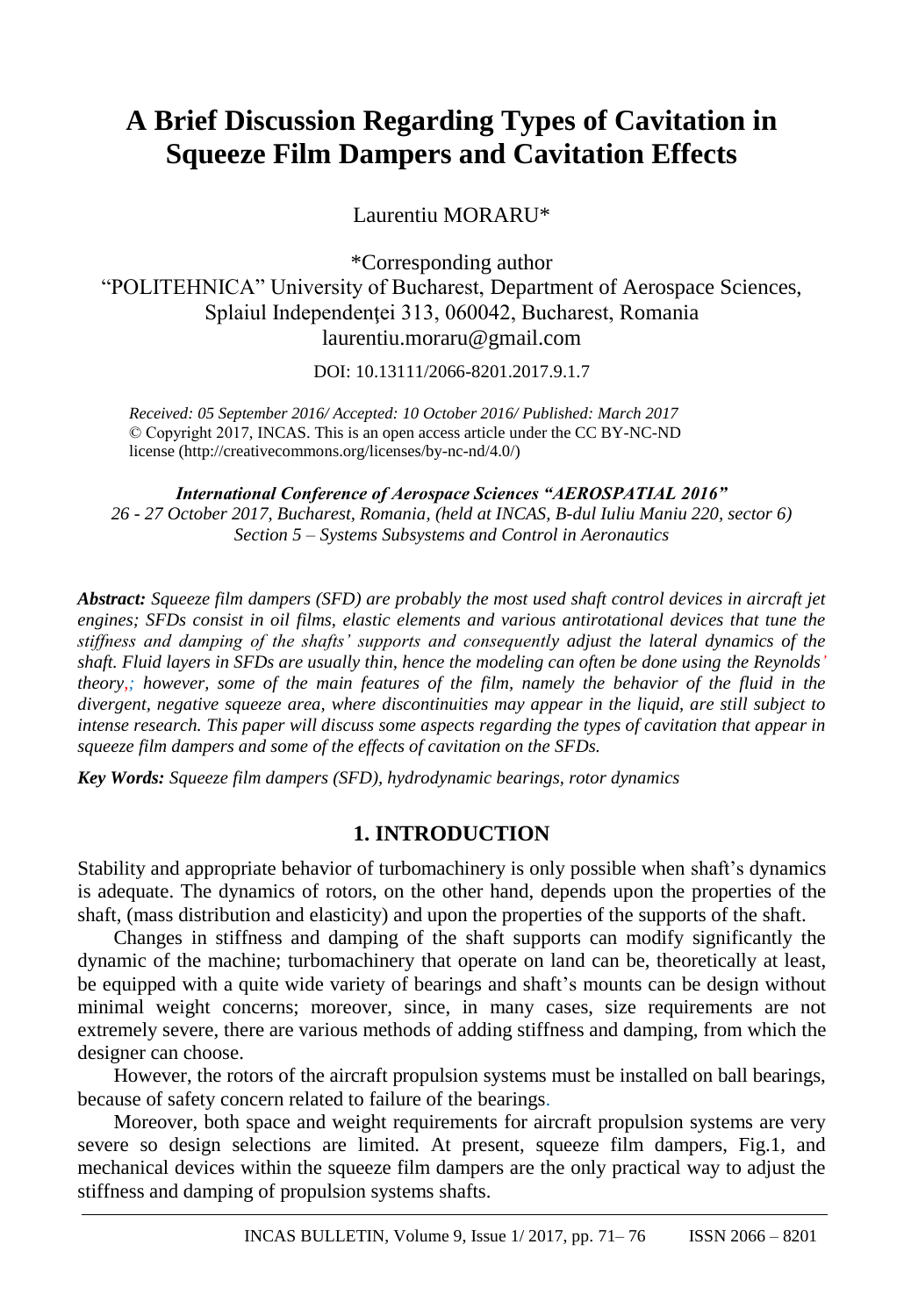# **A Brief Discussion Regarding Types of Cavitation in Squeeze Film Dampers and Cavitation Effects**

Laurentiu MORARU\*

\*Corresponding author "POLITEHNICA" University of Bucharest, Department of Aerospace Sciences, Splaiul Independenței 313, 060042, Bucharest, Romania laurentiu.moraru@gmail.com

DOI: 10.13111/2066-8201.2017.9.1.7

*Received: 05 September 2016/ Accepted: 10 October 2016/ Published: March 2017* © Copyright 2017, INCAS. This is an open access article under the CC BY-NC-ND license (http://creativecommons.org/licenses/by-nc-nd/4.0/)

*International Conference of Aerospace Sciences "AEROSPATIAL 2016" 26 - 27 October 2017, Bucharest, Romania, (held at INCAS, B-dul Iuliu Maniu 220, sector 6) Section 5 – Systems Subsystems and Control in Aeronautics*

*Abstract: Squeeze film dampers (SFD) are probably the most used shaft control devices in aircraft jet engines; SFDs consist in oil films, elastic elements and various antirotational devices that tune the stiffness and damping of the shafts' supports and consequently adjust the lateral dynamics of the shaft. Fluid layers in SFDs are usually thin, hence the modeling can often be done using the Reynolds' theory,; however, some of the main features of the film, namely the behavior of the fluid in the divergent, negative squeeze area, where discontinuities may appear in the liquid, are still subject to intense research. This paper will discuss some aspects regarding the types of cavitation that appear in squeeze film dampers and some of the effects of cavitation on the SFDs.*

*Key Words: Squeeze film dampers (SFD), hydrodynamic bearings, rotor dynamics*

# **1. INTRODUCTION**

Stability and appropriate behavior of turbomachinery is only possible when shaft's dynamics is adequate. The dynamics of rotors, on the other hand, depends upon the properties of the shaft, (mass distribution and elasticity) and upon the properties of the supports of the shaft.

Changes in stiffness and damping of the shaft supports can modify significantly the dynamic of the machine; turbomachinery that operate on land can be, theoretically at least, be equipped with a quite wide variety of bearings and shaft's mounts can be design without minimal weight concerns; moreover, since, in many cases, size requirements are not extremely severe, there are various methods of adding stiffness and damping, from which the designer can choose.

However, the rotors of the aircraft propulsion systems must be installed on ball bearings, because of safety concern related to failure of the bearings.

Moreover, both space and weight requirements for aircraft propulsion systems are very severe so design selections are limited. At present, squeeze film dampers, Fig.1, and mechanical devices within the squeeze film dampers are the only practical way to adjust the stiffness and damping of propulsion systems shafts.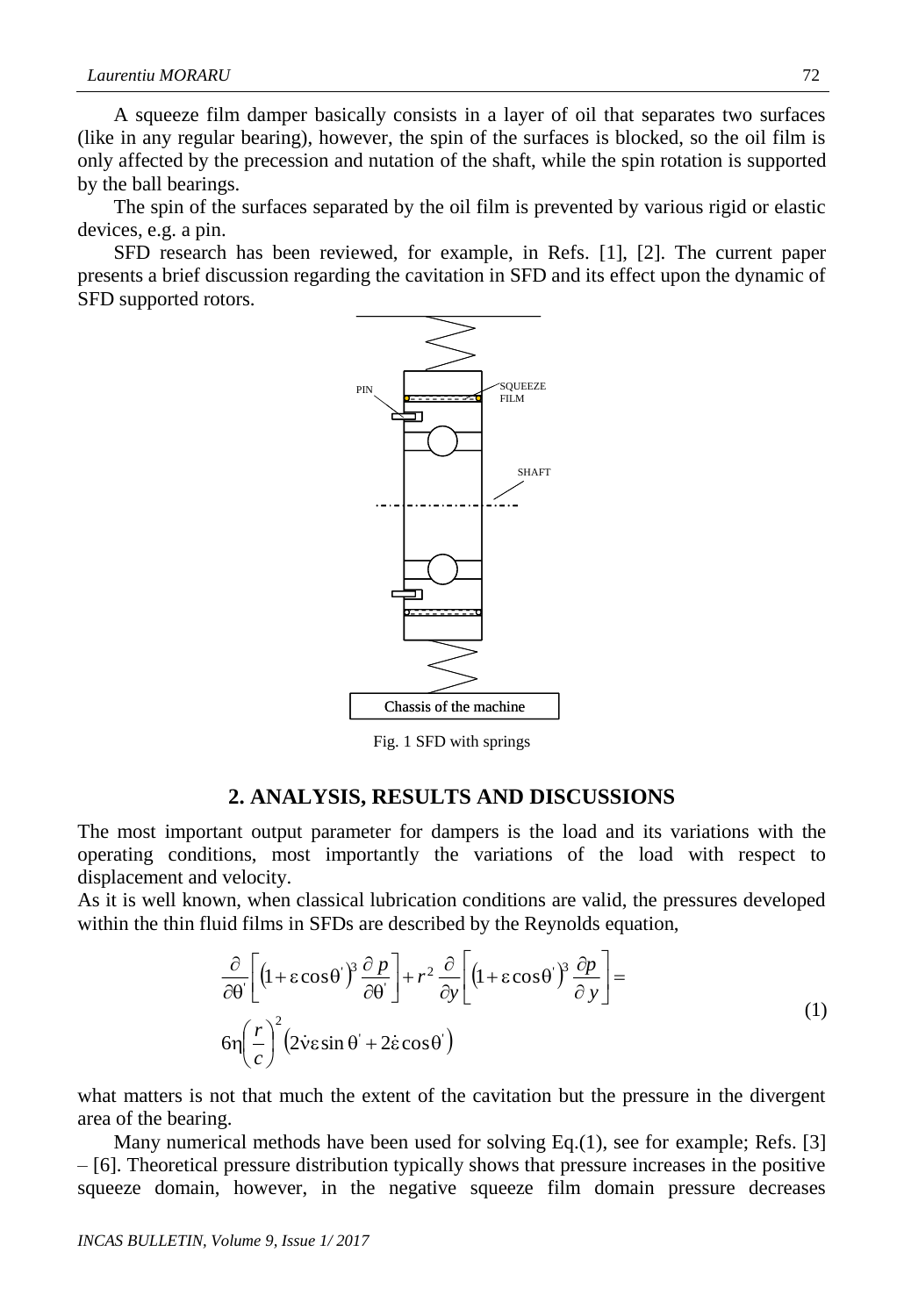A squeeze film damper basically consists in a layer of oil that separates two surfaces (like in any regular bearing), however, the spin of the surfaces is blocked, so the oil film is only affected by the precession and nutation of the shaft, while the spin rotation is supported by the ball bearings.

The spin of the surfaces separated by the oil film is prevented by various rigid or elastic devices, e.g. a pin.

SFD research has been reviewed, for example, in Refs. [1], [2]. The current paper presents a brief discussion regarding the cavitation in SFD and its effect upon the dynamic of SFD supported rotors.



Fig. 1 SFD with springs

#### **2. ANALYSIS, RESULTS AND DISCUSSIONS**

The most important output parameter for dampers is the load and its variations with the operating conditions, most importantly the variations of the load with respect to displacement and velocity.

As it is well known, when classical lubrication conditions are valid, the pressures developed within the thin fluid films in SFDs are described by the Reynolds equation,

$$
\frac{\partial}{\partial \theta}\left[\left(1+\varepsilon\cos\theta\right)^{3}\frac{\partial p}{\partial \theta}\right] + r^{2}\frac{\partial}{\partial y}\left[\left(1+\varepsilon\cos\theta\right)^{3}\frac{\partial p}{\partial y}\right] = \text{(1)}
$$
\n
$$
6\eta\left(\frac{r}{c}\right)^{2}\left(2\dot{v}\varepsilon\sin\theta + 2\dot{\varepsilon}\cos\theta\right)
$$

what matters is not that much the extent of the cavitation but the pressure in the divergent area of the bearing.

Many numerical methods have been used for solving Eq.(1), see for example; Refs. [3] – [6]. Theoretical pressure distribution typically shows that pressure increases in the positive squeeze domain, however, in the negative squeeze film domain pressure decreases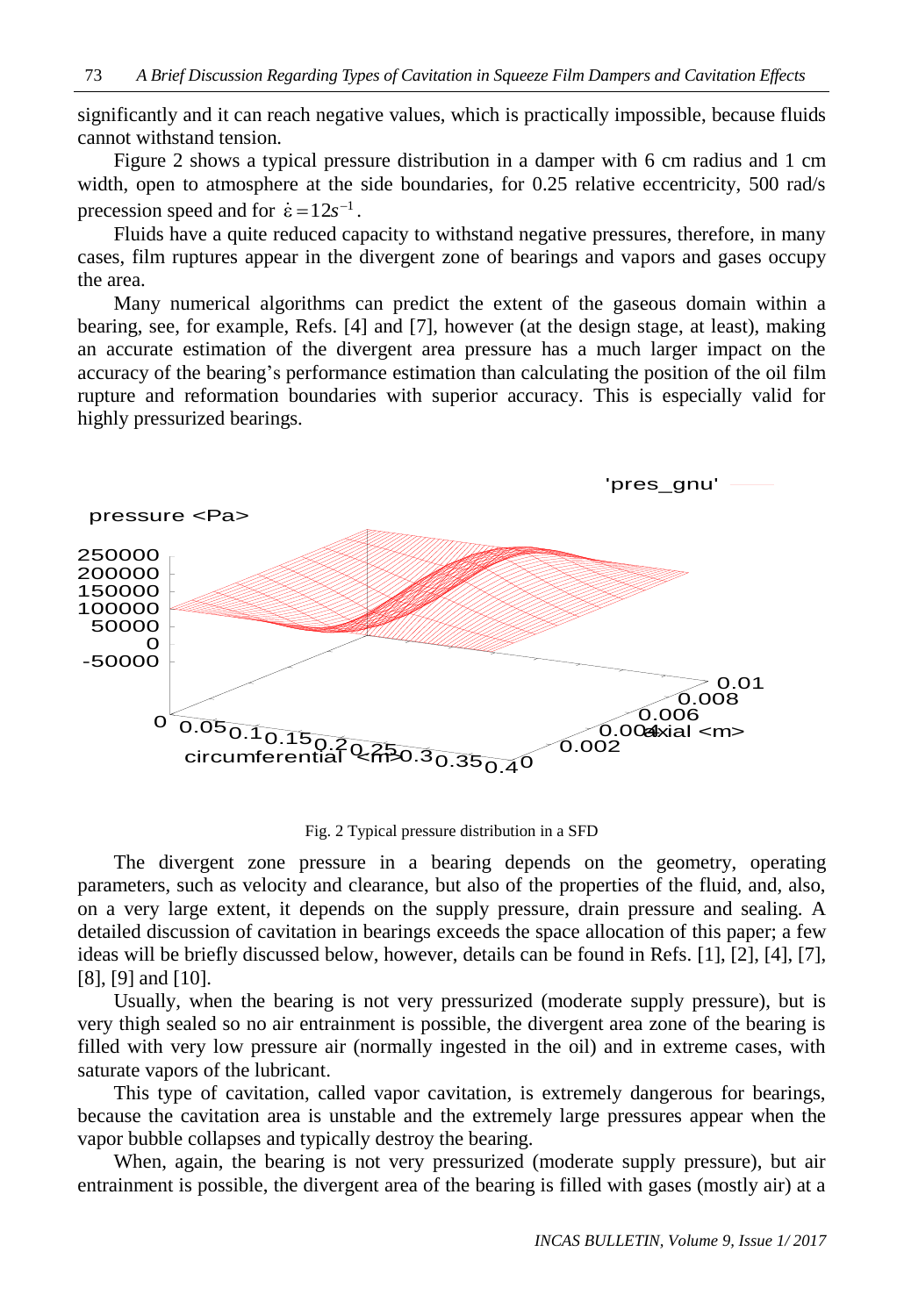significantly and it can reach negative values, which is practically impossible, because fluids cannot withstand tension.

Figure 2 shows a typical pressure distribution in a damper with 6 cm radius and 1 cm width, open to atmosphere at the side boundaries, for 0.25 relative eccentricity, 500 rad/s precession speed and for  $\dot{\epsilon} = 12s^{-1}$ .

Fluids have a quite reduced capacity to withstand negative pressures, therefore, in many cases, film ruptures appear in the divergent zone of bearings and vapors and gases occupy the area.

Many numerical algorithms can predict the extent of the gaseous domain within a bearing, see, for example, Refs. [4] and [7], however (at the design stage, at least), making an accurate estimation of the divergent area pressure has a much larger impact on the accuracy of the bearing's performance estimation than calculating the position of the oil film rupture and reformation boundaries with superior accuracy. This is especially valid for highly pressurized bearings.



Fig. 2 Typical pressure distribution in a SFD

The divergent zone pressure in a bearing depends on the geometry, operating parameters, such as velocity and clearance, but also of the properties of the fluid, and, also, on a very large extent, it depends on the supply pressure, drain pressure and sealing. A detailed discussion of cavitation in bearings exceeds the space allocation of this paper; a few ideas will be briefly discussed below, however, details can be found in Refs. [1], [2], [4], [7], [8], [9] and [10].

Usually, when the bearing is not very pressurized (moderate supply pressure), but is very thigh sealed so no air entrainment is possible, the divergent area zone of the bearing is filled with very low pressure air (normally ingested in the oil) and in extreme cases, with saturate vapors of the lubricant.

This type of cavitation, called vapor cavitation, is extremely dangerous for bearings, because the cavitation area is unstable and the extremely large pressures appear when the vapor bubble collapses and typically destroy the bearing.

When, again, the bearing is not very pressurized (moderate supply pressure), but air entrainment is possible, the divergent area of the bearing is filled with gases (mostly air) at a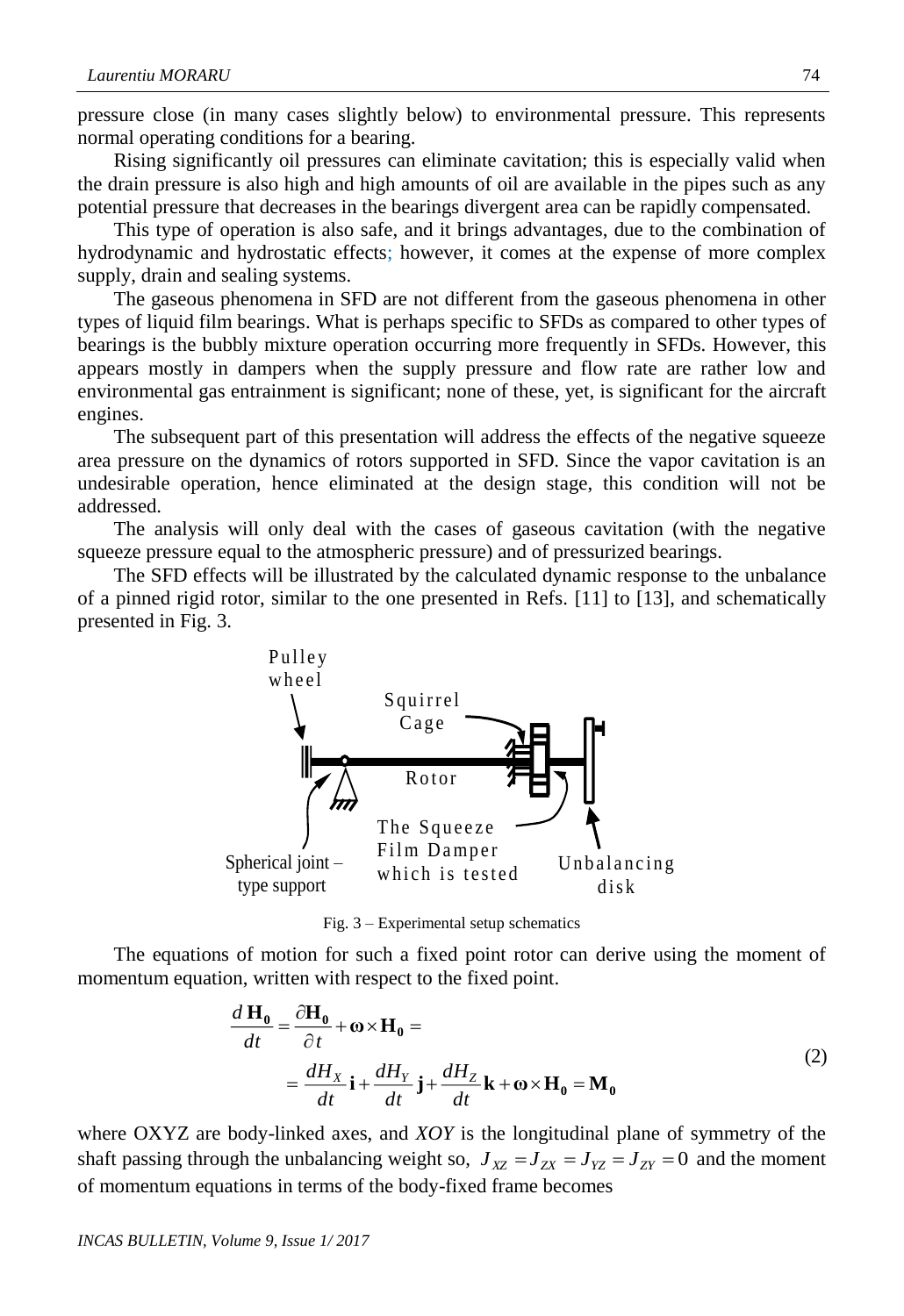pressure close (in many cases slightly below) to environmental pressure. This represents normal operating conditions for a bearing.

Rising significantly oil pressures can eliminate cavitation; this is especially valid when the drain pressure is also high and high amounts of oil are available in the pipes such as any potential pressure that decreases in the bearings divergent area can be rapidly compensated.

This type of operation is also safe, and it brings advantages, due to the combination of hydrodynamic and hydrostatic effects; however, it comes at the expense of more complex supply, drain and sealing systems.

The gaseous phenomena in SFD are not different from the gaseous phenomena in other types of liquid film bearings. What is perhaps specific to SFDs as compared to other types of bearings is the bubbly mixture operation occurring more frequently in SFDs. However, this appears mostly in dampers when the supply pressure and flow rate are rather low and environmental gas entrainment is significant; none of these, yet, is significant for the aircraft engines.

The subsequent part of this presentation will address the effects of the negative squeeze area pressure on the dynamics of rotors supported in SFD. Since the vapor cavitation is an undesirable operation, hence eliminated at the design stage, this condition will not be addressed.

The analysis will only deal with the cases of gaseous cavitation (with the negative squeeze pressure equal to the atmospheric pressure) and of pressurized bearings.

The SFD effects will be illustrated by the calculated dynamic response to the unbalance of a pinned rigid rotor, similar to the one presented in Refs. [11] to [13], and schematically presented in Fig. 3.



Fig. 3 – Experimental setup schematics

The equations of motion for such a fixed point rotor can derive using the moment of momentum equation, written with respect to the fixed point.

$$
\frac{d\mathbf{H}_0}{dt} = \frac{\partial \mathbf{H}_0}{\partial t} + \mathbf{\omega} \times \mathbf{H}_0 =
$$
\n
$$
= \frac{dH_X}{dt}\mathbf{i} + \frac{dH_Y}{dt}\mathbf{j} + \frac{dH_Z}{dt}\mathbf{k} + \mathbf{\omega} \times \mathbf{H}_0 = \mathbf{M}_0
$$
\n(2)

where OXYZ are body-linked axes, and *XOY* is the longitudinal plane of symmetry of the shaft passing through the unbalancing weight so,  $J_{XZ} = J_{ZX} = J_{YZ} = J_{ZY} = 0$  and the moment of momentum equations in terms of the body-fixed frame becomes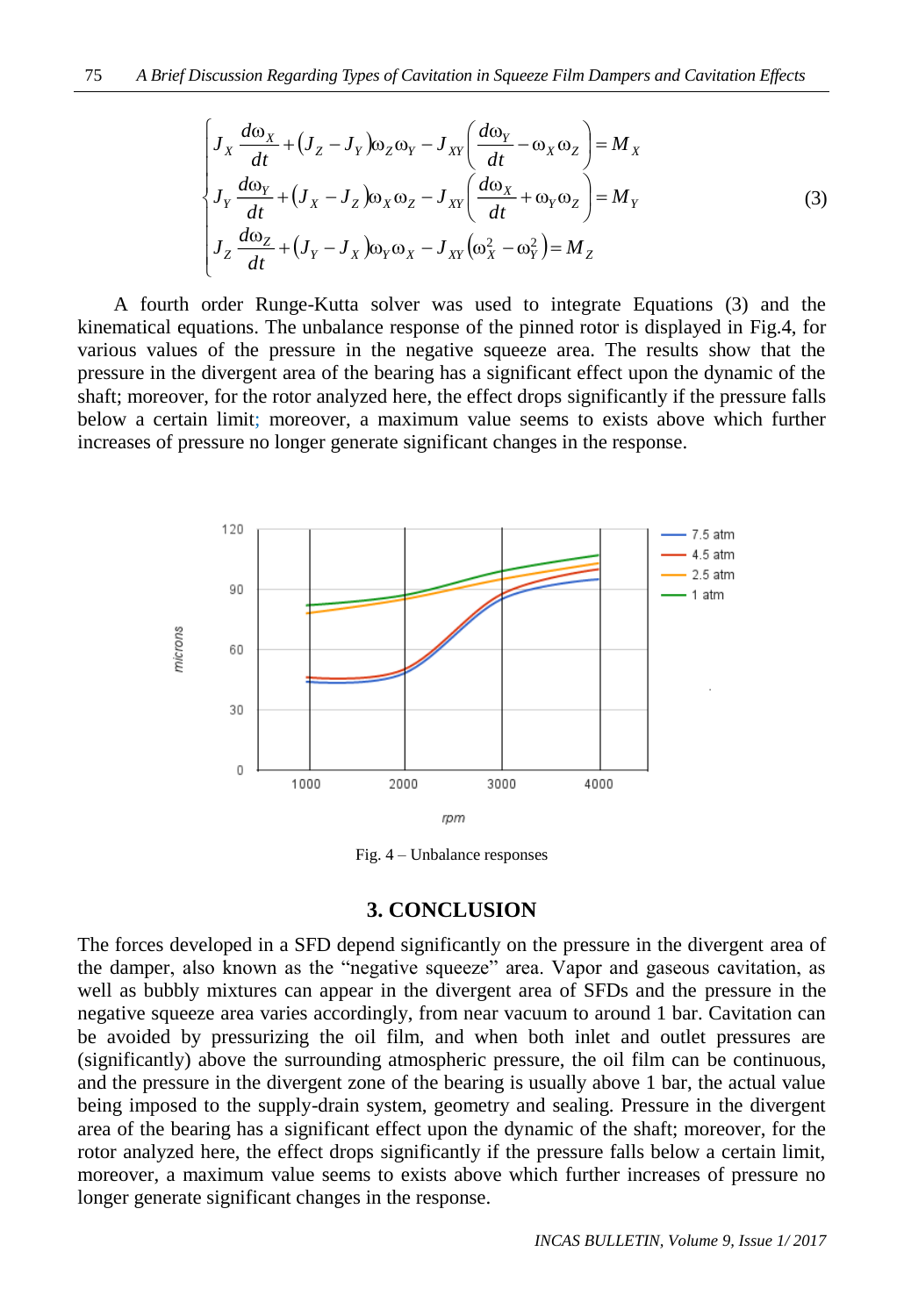$$
\begin{cases}\nJ_X \frac{d\omega_X}{dt} + (J_Z - J_Y)\omega_Z \omega_Y - J_{XY} \left(\frac{d\omega_Y}{dt} - \omega_X \omega_Z\right) = M_X \\
J_Y \frac{d\omega_Y}{dt} + (J_X - J_Z)\omega_X \omega_Z - J_{XY} \left(\frac{d\omega_X}{dt} + \omega_Y \omega_Z\right) = M_Y \\
J_Z \frac{d\omega_Z}{dt} + (J_Y - J_X)\omega_Y \omega_X - J_{XY} \left(\omega_X^2 - \omega_Y^2\right) = M_Z\n\end{cases}
$$
\n(3)

A fourth order Runge-Kutta solver was used to integrate Equations (3) and the kinematical equations. The unbalance response of the pinned rotor is displayed in Fig.4, for various values of the pressure in the negative squeeze area. The results show that the pressure in the divergent area of the bearing has a significant effect upon the dynamic of the shaft; moreover, for the rotor analyzed here, the effect drops significantly if the pressure falls below a certain limit; moreover, a maximum value seems to exists above which further increases of pressure no longer generate significant changes in the response.



Fig. 4 – Unbalance responses

#### **3. CONCLUSION**

The forces developed in a SFD depend significantly on the pressure in the divergent area of the damper, also known as the "negative squeeze" area. Vapor and gaseous cavitation, as well as bubbly mixtures can appear in the divergent area of SFDs and the pressure in the negative squeeze area varies accordingly, from near vacuum to around 1 bar. Cavitation can be avoided by pressurizing the oil film, and when both inlet and outlet pressures are (significantly) above the surrounding atmospheric pressure, the oil film can be continuous, and the pressure in the divergent zone of the bearing is usually above 1 bar, the actual value being imposed to the supply-drain system, geometry and sealing. Pressure in the divergent area of the bearing has a significant effect upon the dynamic of the shaft; moreover, for the rotor analyzed here, the effect drops significantly if the pressure falls below a certain limit, moreover, a maximum value seems to exists above which further increases of pressure no longer generate significant changes in the response.